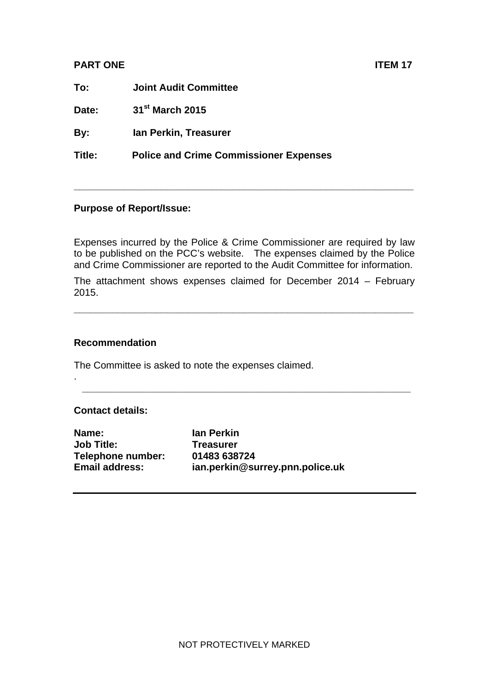## **PART ONE ITEM 17**

**To: Joint Audit Committee** 

**Date: 31st March 2015** 

**By: Ian Perkin, Treasurer** 

**Title: Police and Crime Commissioner Expenses** 

## **Purpose of Report/Issue:**

Expenses incurred by the Police & Crime Commissioner are required by law to be published on the PCC's website. The expenses claimed by the Police and Crime Commissioner are reported to the Audit Committee for information.

**\_\_\_\_\_\_\_\_\_\_\_\_\_\_\_\_\_\_\_\_\_\_\_\_\_\_\_\_\_\_\_\_\_\_\_\_\_\_\_\_\_\_\_\_\_\_\_\_\_\_\_\_\_\_\_\_\_\_\_\_\_\_** 

The attachment shows expenses claimed for December 2014 – February 2015.

**\_\_\_\_\_\_\_\_\_\_\_\_\_\_\_\_\_\_\_\_\_\_\_\_\_\_\_\_\_\_\_\_\_\_\_\_\_\_\_\_\_\_\_\_\_\_\_\_\_\_\_\_\_\_\_\_\_\_\_\_\_\_** 

**\_\_\_\_\_\_\_\_\_\_\_\_\_\_\_\_\_\_\_\_\_\_\_\_\_\_\_\_\_\_\_\_\_\_\_\_\_\_\_\_\_\_\_\_\_\_\_\_\_\_\_\_\_\_\_\_\_\_\_\_** 

## **Recommendation**

The Committee is asked to note the expenses claimed.

## **Contact details:**

.

**Name:** Ian Perkin **Job Title: Treasurer Telephone number: 01483 638724** 

**Email address: ian.perkin@surrey.pnn.police.uk**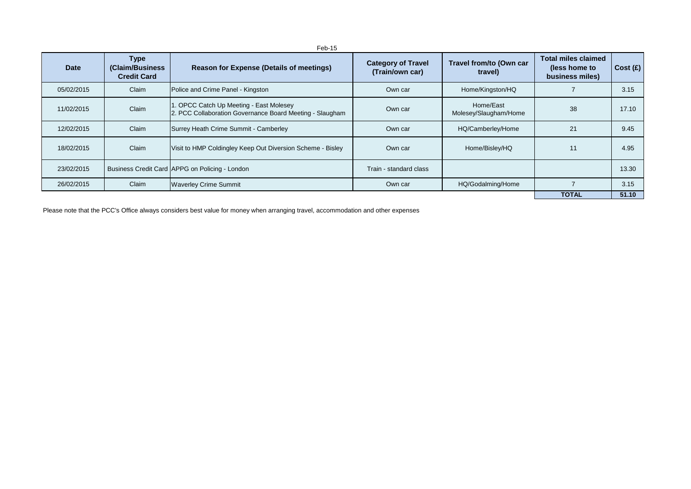| Date       | <b>Type</b><br>(Claim/Business)<br><b>Credit Card</b> | <b>Reason for Expense (Details of meetings)</b>                                                    | <b>Category of Travel</b><br>(Train/own car) | Travel from/to (Own car<br>travel) | <b>Total miles claimed</b><br>(less home to<br>business miles) | Cost(E) |
|------------|-------------------------------------------------------|----------------------------------------------------------------------------------------------------|----------------------------------------------|------------------------------------|----------------------------------------------------------------|---------|
| 05/02/2015 | Claim                                                 | Police and Crime Panel - Kingston                                                                  | Own car                                      | Home/Kingston/HQ                   |                                                                | 3.15    |
| 11/02/2015 | Claim                                                 | . OPCC Catch Up Meeting - East Molesey<br>2. PCC Collaboration Governance Board Meeting - Slaugham | Own car                                      | Home/East<br>Molesey/Slaugham/Home | 38                                                             | 17.10   |
| 12/02/2015 | Claim                                                 | Surrey Heath Crime Summit - Camberley                                                              | Own car                                      | HQ/Camberley/Home                  | 21                                                             | 9.45    |
| 18/02/2015 | Claim                                                 | Visit to HMP Coldingley Keep Out Diversion Scheme - Bisley                                         | Own car                                      | Home/Bisley/HQ                     | 11                                                             | 4.95    |
| 23/02/2015 |                                                       | Business Credit Card APPG on Policing - London                                                     | Train - standard class                       |                                    |                                                                | 13.30   |
| 26/02/2015 | Claim                                                 | <b>Waverley Crime Summit</b>                                                                       | Own car                                      | HQ/Godalming/Home                  |                                                                | 3.15    |
|            |                                                       |                                                                                                    |                                              |                                    | <b>TOTAL</b>                                                   | 51.10   |

Please note that the PCC's Office always considers best value for money when arranging travel, accommodation and other expenses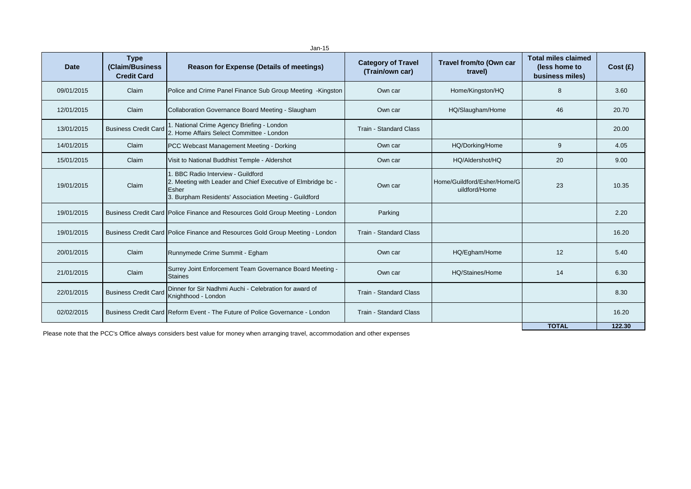| $Jan-15$   |                                                      |                                                                                                                                                                          |                                              |                                              |                                                                |         |  |
|------------|------------------------------------------------------|--------------------------------------------------------------------------------------------------------------------------------------------------------------------------|----------------------------------------------|----------------------------------------------|----------------------------------------------------------------|---------|--|
| Date       | <b>Type</b><br>(Claim/Business<br><b>Credit Card</b> | <b>Reason for Expense (Details of meetings)</b>                                                                                                                          | <b>Category of Travel</b><br>(Train/own car) | Travel from/to (Own car<br>travel)           | <b>Total miles claimed</b><br>(less home to<br>business miles) | Cost(E) |  |
| 09/01/2015 | Claim                                                | Police and Crime Panel Finance Sub Group Meeting -Kingston                                                                                                               | Own car                                      | Home/Kingston/HQ                             | 8                                                              | 3.60    |  |
| 12/01/2015 | Claim                                                | Collaboration Governance Board Meeting - Slaugham                                                                                                                        | Own car                                      | HQ/Slaugham/Home                             | 46                                                             | 20.70   |  |
| 13/01/2015 | <b>Business Credit Card</b>                          | . National Crime Agency Briefing - London<br>2. Home Affairs Select Committee - London                                                                                   | Train - Standard Class                       |                                              |                                                                | 20.00   |  |
| 14/01/2015 | Claim                                                | PCC Webcast Management Meeting - Dorking                                                                                                                                 | Own car                                      | HQ/Dorking/Home                              | 9                                                              | 4.05    |  |
| 15/01/2015 | Claim                                                | Visit to National Buddhist Temple - Aldershot                                                                                                                            | Own car                                      | HQ/Aldershot/HQ                              | 20                                                             | 9.00    |  |
| 19/01/2015 | Claim                                                | <b>BBC Radio Interview - Guildford</b><br>2. Meeting with Leader and Chief Executive of Elmbridge bc -<br>Esher<br>3. Burpham Residents' Association Meeting - Guildford | Own car                                      | Home/Guildford/Esher/Home/G<br>uildford/Home | 23                                                             | 10.35   |  |
| 19/01/2015 |                                                      | Business Credit Card   Police Finance and Resources Gold Group Meeting - London                                                                                          | Parking                                      |                                              |                                                                | 2.20    |  |
| 19/01/2015 |                                                      | Business Credit Card   Police Finance and Resources Gold Group Meeting - London                                                                                          | Train - Standard Class                       |                                              |                                                                | 16.20   |  |
| 20/01/2015 | Claim                                                | Runnymede Crime Summit - Egham                                                                                                                                           | Own car                                      | HQ/Egham/Home                                | 12                                                             | 5.40    |  |
| 21/01/2015 | Claim                                                | Surrey Joint Enforcement Team Governance Board Meeting -<br><b>Staines</b>                                                                                               | Own car                                      | HQ/Staines/Home                              | 14                                                             | 6.30    |  |
| 22/01/2015 | <b>Business Credit Card</b>                          | Dinner for Sir Nadhmi Auchi - Celebration for award of<br>Knighthood - London                                                                                            | Train - Standard Class                       |                                              |                                                                | 8.30    |  |
| 02/02/2015 |                                                      | Business Credit Card Reform Event - The Future of Police Governance - London                                                                                             | <b>Train - Standard Class</b>                |                                              |                                                                | 16.20   |  |
|            |                                                      |                                                                                                                                                                          |                                              |                                              | <b>TOTAL</b>                                                   | 122.30  |  |

Please note that the PCC's Office always considers best value for money when arranging travel, accommodation and other expenses